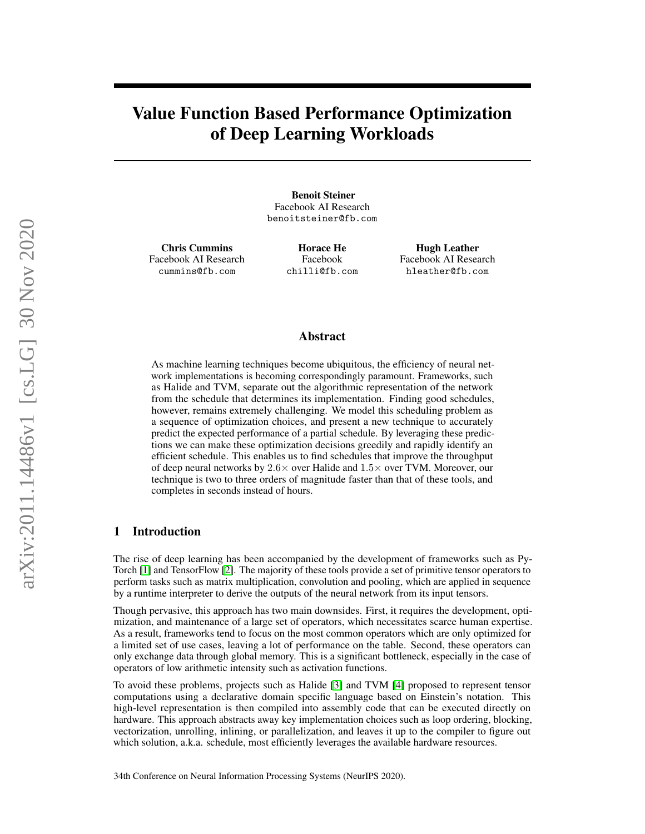# Value Function Based Performance Optimization of Deep Learning Workloads

Benoit Steiner Facebook AI Research benoitsteiner@fb.com

Chris Cummins Facebook AI Research cummins@fb.com

Horace He Facebook chilli@fb.com

Hugh Leather Facebook AI Research hleather@fb.com

# Abstract

As machine learning techniques become ubiquitous, the efficiency of neural network implementations is becoming correspondingly paramount. Frameworks, such as Halide and TVM, separate out the algorithmic representation of the network from the schedule that determines its implementation. Finding good schedules, however, remains extremely challenging. We model this scheduling problem as a sequence of optimization choices, and present a new technique to accurately predict the expected performance of a partial schedule. By leveraging these predictions we can make these optimization decisions greedily and rapidly identify an efficient schedule. This enables us to find schedules that improve the throughput of deep neural networks by  $2.6 \times$  over Halide and  $1.5 \times$  over TVM. Moreover, our technique is two to three orders of magnitude faster than that of these tools, and completes in seconds instead of hours.

# 1 Introduction

The rise of deep learning has been accompanied by the development of frameworks such as Py-Torch [\[1\]](#page-4-0) and TensorFlow [\[2\]](#page-4-1). The majority of these tools provide a set of primitive tensor operators to perform tasks such as matrix multiplication, convolution and pooling, which are applied in sequence by a runtime interpreter to derive the outputs of the neural network from its input tensors.

Though pervasive, this approach has two main downsides. First, it requires the development, optimization, and maintenance of a large set of operators, which necessitates scarce human expertise. As a result, frameworks tend to focus on the most common operators which are only optimized for a limited set of use cases, leaving a lot of performance on the table. Second, these operators can only exchange data through global memory. This is a significant bottleneck, especially in the case of operators of low arithmetic intensity such as activation functions.

To avoid these problems, projects such as Halide [\[3\]](#page-4-2) and TVM [\[4\]](#page-4-3) proposed to represent tensor computations using a declarative domain specific language based on Einstein's notation. This high-level representation is then compiled into assembly code that can be executed directly on hardware. This approach abstracts away key implementation choices such as loop ordering, blocking, vectorization, unrolling, inlining, or parallelization, and leaves it up to the compiler to figure out which solution, a.k.a. schedule, most efficiently leverages the available hardware resources.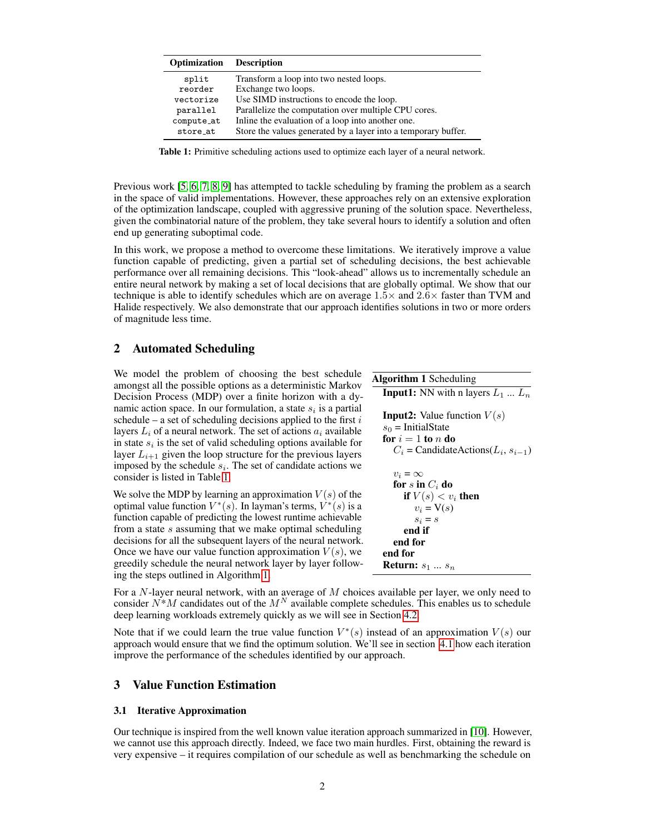| Optimization | <b>Description</b>                                             |
|--------------|----------------------------------------------------------------|
| split        | Transform a loop into two nested loops.                        |
| reorder      | Exchange two loops.                                            |
| vectorize    | Use SIMD instructions to encode the loop.                      |
| parallel     | Parallelize the computation over multiple CPU cores.           |
| compute_at   | Inline the evaluation of a loop into another one.              |
| store at     | Store the values generated by a layer into a temporary buffer. |

<span id="page-1-0"></span>Table 1: Primitive scheduling actions used to optimize each layer of a neural network.

Previous work [\[5,](#page-4-4) [6,](#page-4-5) [7,](#page-4-6) [8,](#page-4-7) [9\]](#page-4-8) has attempted to tackle scheduling by framing the problem as a search in the space of valid implementations. However, these approaches rely on an extensive exploration of the optimization landscape, coupled with aggressive pruning of the solution space. Nevertheless, given the combinatorial nature of the problem, they take several hours to identify a solution and often end up generating suboptimal code.

In this work, we propose a method to overcome these limitations. We iteratively improve a value function capable of predicting, given a partial set of scheduling decisions, the best achievable performance over all remaining decisions. This "look-ahead" allows us to incrementally schedule an entire neural network by making a set of local decisions that are globally optimal. We show that our technique is able to identify schedules which are on average  $1.5\times$  and  $2.6\times$  faster than TVM and Halide respectively. We also demonstrate that our approach identifies solutions in two or more orders of magnitude less time.

# 2 Automated Scheduling

We model the problem of choosing the best schedule amongst all the possible options as a deterministic Markov Decision Process (MDP) over a finite horizon with a dynamic action space. In our formulation, a state  $s_i$  is a partial schedule – a set of scheduling decisions applied to the first  $i$ layers  $L_i$  of a neural network. The set of actions  $a_i$  available in state  $s_i$  is the set of valid scheduling options available for layer  $L_{i+1}$  given the loop structure for the previous layers imposed by the schedule  $s_i$ . The set of candidate actions we consider is listed in Table [1.](#page-1-0)

We solve the MDP by learning an approximation  $V(s)$  of the optimal value function  $V^*(s)$ . In layman's terms,  $\dot{V}^*(s)$  is a function capable of predicting the lowest runtime achievable from a state  $s$  assuming that we make optimal scheduling decisions for all the subsequent layers of the neural network. Once we have our value function approximation  $V(s)$ , we greedily schedule the neural network layer by layer following the steps outlined in Algorithm [1.](#page-1-1)

<span id="page-1-1"></span>

| <b>Algorithm 1 Scheduling</b>                                                                                                                               |
|-------------------------------------------------------------------------------------------------------------------------------------------------------------|
| <b>Input1:</b> NN with n layers $L_1  L_n$                                                                                                                  |
| <b>Input2:</b> Value function $V(s)$<br>$s_0$ = InitialState<br>for $i=1$ to n do<br>$C_i$ = CandidateActions( $L_i$ , $s_{i-1}$ )                          |
| $v_i = \infty$<br>for s in $C_i$ do<br>if $V(s) < v_i$ then<br>$v_i = V(s)$<br>$S_i = S$<br>end if<br>end for<br>end for<br><b>Return:</b> $s_1 \ldots s_n$ |

For a  $N$ -layer neural network, with an average of  $M$  choices available per layer, we only need to consider  $N^*M$  candidates out of the  $M^N$  available complete schedules. This enables us to schedule deep learning workloads extremely quickly as we will see in Section [4.2.](#page-3-0)

Note that if we could learn the true value function  $V^*(s)$  instead of an approximation  $V(s)$  our approach would ensure that we find the optimum solution. We'll see in section [4.1](#page-2-0) how each iteration improve the performance of the schedules identified by our approach.

# 3 Value Function Estimation

#### 3.1 Iterative Approximation

Our technique is inspired from the well known value iteration approach summarized in [\[10\]](#page-4-9). However, we cannot use this approach directly. Indeed, we face two main hurdles. First, obtaining the reward is very expensive – it requires compilation of our schedule as well as benchmarking the schedule on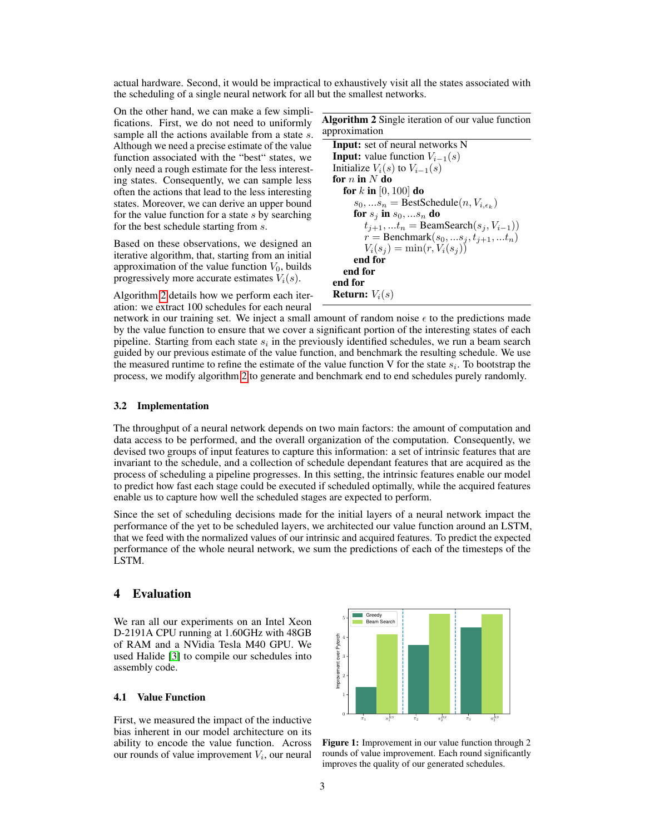actual hardware. Second, it would be impractical to exhaustively visit all the states associated with the scheduling of a single neural network for all but the smallest networks.

On the other hand, we can make a few simplifications. First, we do not need to uniformly sample all the actions available from a state s. Although we need a precise estimate of the value function associated with the "best" states, we only need a rough estimate for the less interesting states. Consequently, we can sample less often the actions that lead to the less interesting states. Moreover, we can derive an upper bound for the value function for a state  $s$  by searching for the best schedule starting from s.

Based on these observations, we designed an iterative algorithm, that, starting from an initial approximation of the value function  $V_0$ , builds progressively more accurate estimates  $V_i(s)$ .

Algorithm [2](#page-2-1) details how we perform each iteration: we extract 100 schedules for each neural <span id="page-2-1"></span>Algorithm 2 Single iteration of our value function approximation Input: set of neural networks N **Input:** value function  $V_{i-1}(s)$ Initialize  $V_i(s)$  to  $V_{i-1}(s)$ for  $n$  in  $N$  do for  $k$  in [0, 100] do  $s_0, ... s_n = \text{BestSchedule}(n, V_{i, \epsilon_k})$ for  $s_j$  in  $s_0, ... s_n$  do  $t_{j+1}, ... t_n = \text{BeamSearch}(s_j, V_{i-1})$  $r =$  Benchmark $(s_0, ..., s_j, t_{j+1}, ..., t_n)$  $V_i(s_j) = \min(r, V_i(s_j))$ end for end for end for **Return:**  $V_i(s)$ 

network in our training set. We inject a small amount of random noise  $\epsilon$  to the predictions made by the value function to ensure that we cover a significant portion of the interesting states of each pipeline. Starting from each state  $s_i$  in the previously identified schedules, we run a beam search guided by our previous estimate of the value function, and benchmark the resulting schedule. We use the measured runtime to refine the estimate of the value function V for the state  $s_i$ . To bootstrap the process, we modify algorithm [2](#page-2-1) to generate and benchmark end to end schedules purely randomly.

#### 3.2 Implementation

The throughput of a neural network depends on two main factors: the amount of computation and data access to be performed, and the overall organization of the computation. Consequently, we devised two groups of input features to capture this information: a set of intrinsic features that are invariant to the schedule, and a collection of schedule dependant features that are acquired as the process of scheduling a pipeline progresses. In this setting, the intrinsic features enable our model to predict how fast each stage could be executed if scheduled optimally, while the acquired features enable us to capture how well the scheduled stages are expected to perform.

Since the set of scheduling decisions made for the initial layers of a neural network impact the performance of the yet to be scheduled layers, we architected our value function around an LSTM, that we feed with the normalized values of our intrinsic and acquired features. To predict the expected performance of the whole neural network, we sum the predictions of each of the timesteps of the LSTM.

## 4 Evaluation

We ran all our experiments on an Intel Xeon D-2191A CPU running at 1.60GHz with 48GB of RAM and a NVidia Tesla M40 GPU. We used Halide [\[3\]](#page-4-2) to compile our schedules into assembly code.

## <span id="page-2-0"></span>4.1 Value Function

First, we measured the impact of the inductive bias inherent in our model architecture on its ability to encode the value function. Across our rounds of value improvement  $V_i$ , our neural



<span id="page-2-2"></span>Figure 1: Improvement in our value function through 2 rounds of value improvement. Each round significantly improves the quality of our generated schedules.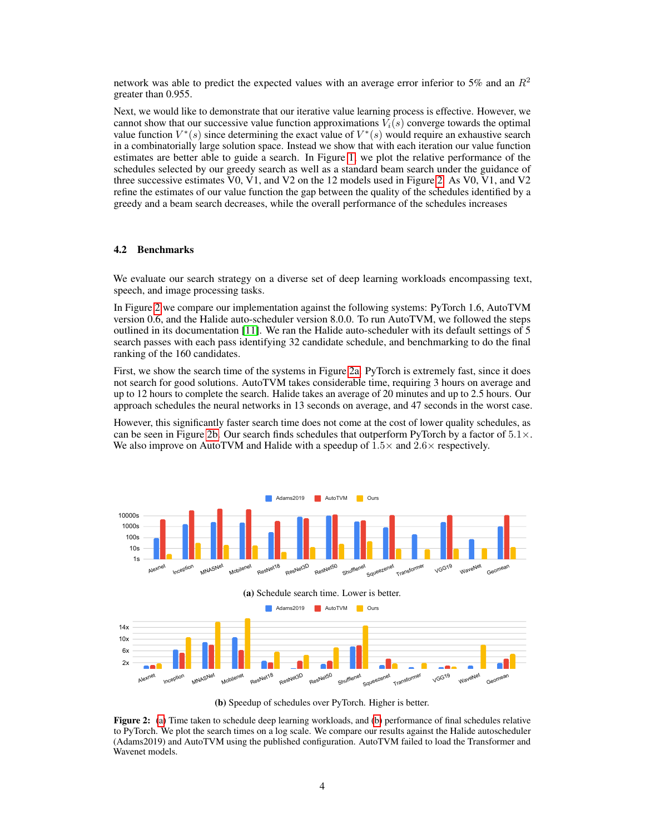network was able to predict the expected values with an average error inferior to 5% and an  $R^2$ greater than 0.955.

Next, we would like to demonstrate that our iterative value learning process is effective. However, we cannot show that our successive value function approximations  $V_i(s)$  converge towards the optimal value function  $V^*(s)$  since determining the exact value of  $V^*(s)$  would require an exhaustive search in a combinatorially large solution space. Instead we show that with each iteration our value function estimates are better able to guide a search. In Figure [1,](#page-2-2) we plot the relative performance of the schedules selected by our greedy search as well as a standard beam search under the guidance of three successive estimates V0, V1, and V2 on the 12 models used in Figure [2.](#page-3-1) As V0, V1, and V2 refine the estimates of our value function the gap between the quality of the schedules identified by a greedy and a beam search decreases, while the overall performance of the schedules increases

#### <span id="page-3-0"></span>4.2 Benchmarks

We evaluate our search strategy on a diverse set of deep learning workloads encompassing text, speech, and image processing tasks.

In Figure [2](#page-3-1) we compare our implementation against the following systems: PyTorch 1.6, AutoTVM version 0.6, and the Halide auto-scheduler version 8.0.0. To run AutoTVM, we followed the steps outlined in its documentation [\[11\]](#page-5-0). We ran the Halide auto-scheduler with its default settings of 5 search passes with each pass identifying 32 candidate schedule, and benchmarking to do the final ranking of the 160 candidates.

First, we show the search time of the systems in Figure [2a.](#page-3-2) PyTorch is extremely fast, since it does not search for good solutions. AutoTVM takes considerable time, requiring 3 hours on average and up to 12 hours to complete the search. Halide takes an average of 20 minutes and up to 2.5 hours. Our approach schedules the neural networks in 13 seconds on average, and 47 seconds in the worst case.

However, this significantly faster search time does not come at the cost of lower quality schedules, as can be seen in Figure [2b.](#page-3-3) Our search finds schedules that outperform PyTorch by a factor of  $5.1 \times$ . We also improve on AutoTVM and Halide with a speedup of  $1.5\times$  and  $2.6\times$  respectively.



<span id="page-3-3"></span><span id="page-3-2"></span>(b) Speedup of schedules over PyTorch. Higher is better.

<span id="page-3-1"></span>Figure 2: [\(a\)](#page-3-2) Time taken to schedule deep learning workloads, and [\(b\)](#page-3-3) performance of final schedules relative to PyTorch. We plot the search times on a log scale. We compare our results against the Halide autoscheduler (Adams2019) and AutoTVM using the published configuration. AutoTVM failed to load the Transformer and Wavenet models.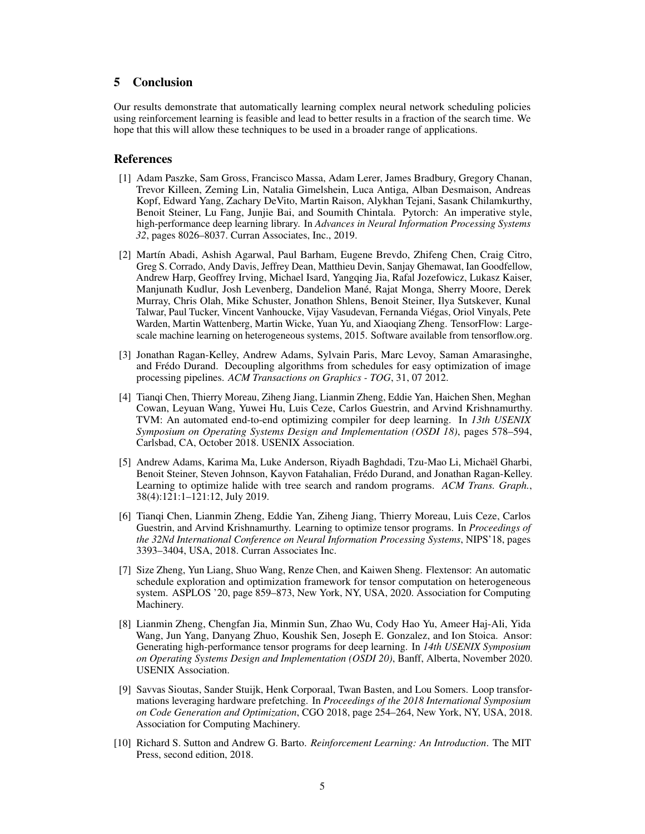# 5 Conclusion

Our results demonstrate that automatically learning complex neural network scheduling policies using reinforcement learning is feasible and lead to better results in a fraction of the search time. We hope that this will allow these techniques to be used in a broader range of applications.

# References

- <span id="page-4-0"></span>[1] Adam Paszke, Sam Gross, Francisco Massa, Adam Lerer, James Bradbury, Gregory Chanan, Trevor Killeen, Zeming Lin, Natalia Gimelshein, Luca Antiga, Alban Desmaison, Andreas Kopf, Edward Yang, Zachary DeVito, Martin Raison, Alykhan Tejani, Sasank Chilamkurthy, Benoit Steiner, Lu Fang, Junjie Bai, and Soumith Chintala. Pytorch: An imperative style, high-performance deep learning library. In *Advances in Neural Information Processing Systems 32*, pages 8026–8037. Curran Associates, Inc., 2019.
- <span id="page-4-1"></span>[2] Mart´ın Abadi, Ashish Agarwal, Paul Barham, Eugene Brevdo, Zhifeng Chen, Craig Citro, Greg S. Corrado, Andy Davis, Jeffrey Dean, Matthieu Devin, Sanjay Ghemawat, Ian Goodfellow, Andrew Harp, Geoffrey Irving, Michael Isard, Yangqing Jia, Rafal Jozefowicz, Lukasz Kaiser, Manjunath Kudlur, Josh Levenberg, Dandelion Mané, Rajat Monga, Sherry Moore, Derek Murray, Chris Olah, Mike Schuster, Jonathon Shlens, Benoit Steiner, Ilya Sutskever, Kunal Talwar, Paul Tucker, Vincent Vanhoucke, Vijay Vasudevan, Fernanda Viegas, Oriol Vinyals, Pete ´ Warden, Martin Wattenberg, Martin Wicke, Yuan Yu, and Xiaoqiang Zheng. TensorFlow: Largescale machine learning on heterogeneous systems, 2015. Software available from tensorflow.org.
- <span id="page-4-2"></span>[3] Jonathan Ragan-Kelley, Andrew Adams, Sylvain Paris, Marc Levoy, Saman Amarasinghe, and Fredo Durand. Decoupling algorithms from schedules for easy optimization of image ´ processing pipelines. *ACM Transactions on Graphics - TOG*, 31, 07 2012.
- <span id="page-4-3"></span>[4] Tianqi Chen, Thierry Moreau, Ziheng Jiang, Lianmin Zheng, Eddie Yan, Haichen Shen, Meghan Cowan, Leyuan Wang, Yuwei Hu, Luis Ceze, Carlos Guestrin, and Arvind Krishnamurthy. TVM: An automated end-to-end optimizing compiler for deep learning. In *13th USENIX Symposium on Operating Systems Design and Implementation (OSDI 18)*, pages 578–594, Carlsbad, CA, October 2018. USENIX Association.
- <span id="page-4-4"></span>[5] Andrew Adams, Karima Ma, Luke Anderson, Riyadh Baghdadi, Tzu-Mao Li, Michael Gharbi, ¨ Benoit Steiner, Steven Johnson, Kayvon Fatahalian, Fredo Durand, and Jonathan Ragan-Kelley. ´ Learning to optimize halide with tree search and random programs. *ACM Trans. Graph.*, 38(4):121:1–121:12, July 2019.
- <span id="page-4-5"></span>[6] Tianqi Chen, Lianmin Zheng, Eddie Yan, Ziheng Jiang, Thierry Moreau, Luis Ceze, Carlos Guestrin, and Arvind Krishnamurthy. Learning to optimize tensor programs. In *Proceedings of the 32Nd International Conference on Neural Information Processing Systems*, NIPS'18, pages 3393–3404, USA, 2018. Curran Associates Inc.
- <span id="page-4-6"></span>[7] Size Zheng, Yun Liang, Shuo Wang, Renze Chen, and Kaiwen Sheng. Flextensor: An automatic schedule exploration and optimization framework for tensor computation on heterogeneous system. ASPLOS '20, page 859–873, New York, NY, USA, 2020. Association for Computing Machinery.
- <span id="page-4-7"></span>[8] Lianmin Zheng, Chengfan Jia, Minmin Sun, Zhao Wu, Cody Hao Yu, Ameer Haj-Ali, Yida Wang, Jun Yang, Danyang Zhuo, Koushik Sen, Joseph E. Gonzalez, and Ion Stoica. Ansor: Generating high-performance tensor programs for deep learning. In *14th USENIX Symposium on Operating Systems Design and Implementation (OSDI 20)*, Banff, Alberta, November 2020. USENIX Association.
- <span id="page-4-8"></span>[9] Savvas Sioutas, Sander Stuijk, Henk Corporaal, Twan Basten, and Lou Somers. Loop transformations leveraging hardware prefetching. In *Proceedings of the 2018 International Symposium on Code Generation and Optimization*, CGO 2018, page 254–264, New York, NY, USA, 2018. Association for Computing Machinery.
- <span id="page-4-9"></span>[10] Richard S. Sutton and Andrew G. Barto. *Reinforcement Learning: An Introduction*. The MIT Press, second edition, 2018.